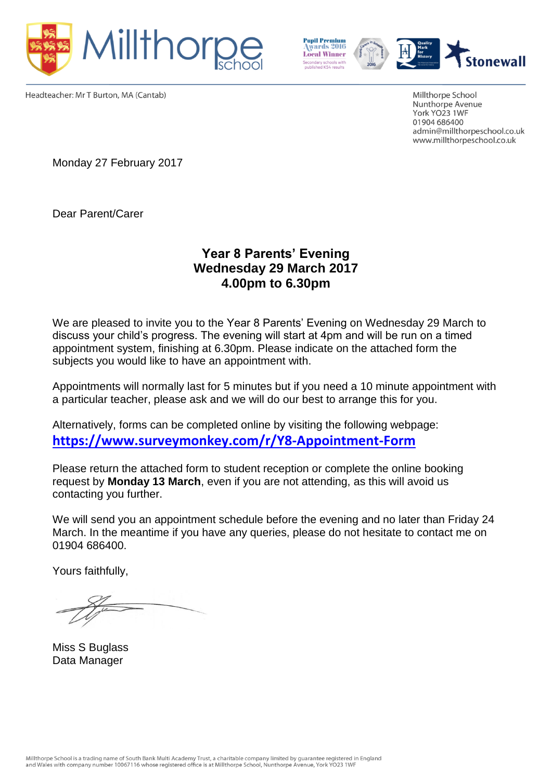



Headteacher: Mr T Burton, MA (Cantab)

Millthorpe School Nunthorpe Avenue York YO23 1WF 01904 686400 admin@millthorpeschool.co.uk www.millthorpeschool.co.uk

Monday 27 February 2017

Dear Parent/Carer

# **Year 8 Parents' Evening Wednesday 29 March 2017 4.00pm to 6.30pm**

We are pleased to invite you to the Year 8 Parents' Evening on Wednesday 29 March to discuss your child's progress. The evening will start at 4pm and will be run on a timed appointment system, finishing at 6.30pm. Please indicate on the attached form the subjects you would like to have an appointment with.

Appointments will normally last for 5 minutes but if you need a 10 minute appointment with a particular teacher, please ask and we will do our best to arrange this for you.

Alternatively, forms can be completed online by visiting the following webpage: **<https://www.surveymonkey.com/r/Y8-Appointment-Form>**

Please return the attached form to student reception or complete the online booking request by **Monday 13 March**, even if you are not attending, as this will avoid us contacting you further.

We will send you an appointment schedule before the evening and no later than Friday 24 March. In the meantime if you have any queries, please do not hesitate to contact me on 01904 686400.

Yours faithfully,

Miss S Buglass Data Manager